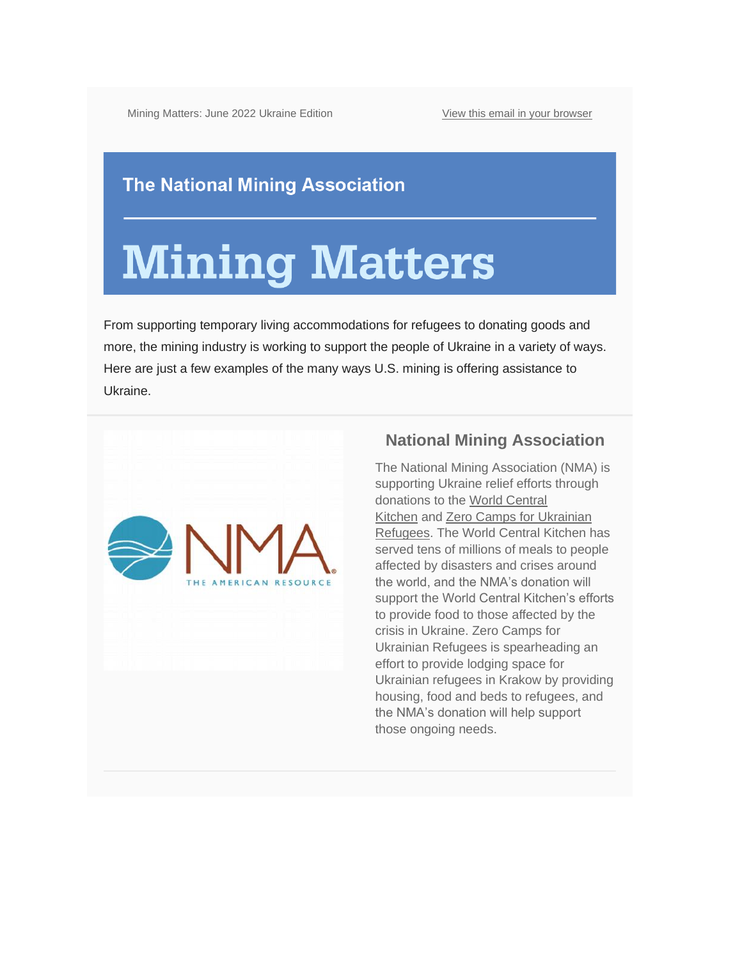Mining Matters: June 2022 Ukraine Edition [View this email in your browser](https://mailchi.mp/nma/mining-matters-summer-2019-edition-499736?e=%5bUNIQID%5d)

#### **The National Mining Association**

# **Mining Matters**

From supporting temporary living accommodations for refugees to donating goods and more, the mining industry is working to support the people of Ukraine in a variety of ways. Here are just a few examples of the many ways U.S. mining is offering assistance to Ukraine.



#### **National Mining Association**

The National Mining Association (NMA) is supporting Ukraine relief efforts through donations to the [World Central](https://wck.org/)  [Kitchen](https://wck.org/) and [Zero Camps for Ukrainian](https://www.gofundme.com/f/zerocamps?utm_medium=email&utm_source=product&utm_campaign=p_email_m_pd-5332-donation-receipt-adyen&utm_content=internal)  [Refugees.](https://www.gofundme.com/f/zerocamps?utm_medium=email&utm_source=product&utm_campaign=p_email_m_pd-5332-donation-receipt-adyen&utm_content=internal) The World Central Kitchen has served tens of millions of meals to people affected by disasters and crises around the world, and the NMA's donation will support the World Central Kitchen's efforts to provide food to those affected by the crisis in Ukraine. Zero Camps for Ukrainian Refugees is spearheading an effort to provide lodging space for Ukrainian refugees in Krakow by providing housing, food and beds to refugees, and the NMA's donation will help support those ongoing needs.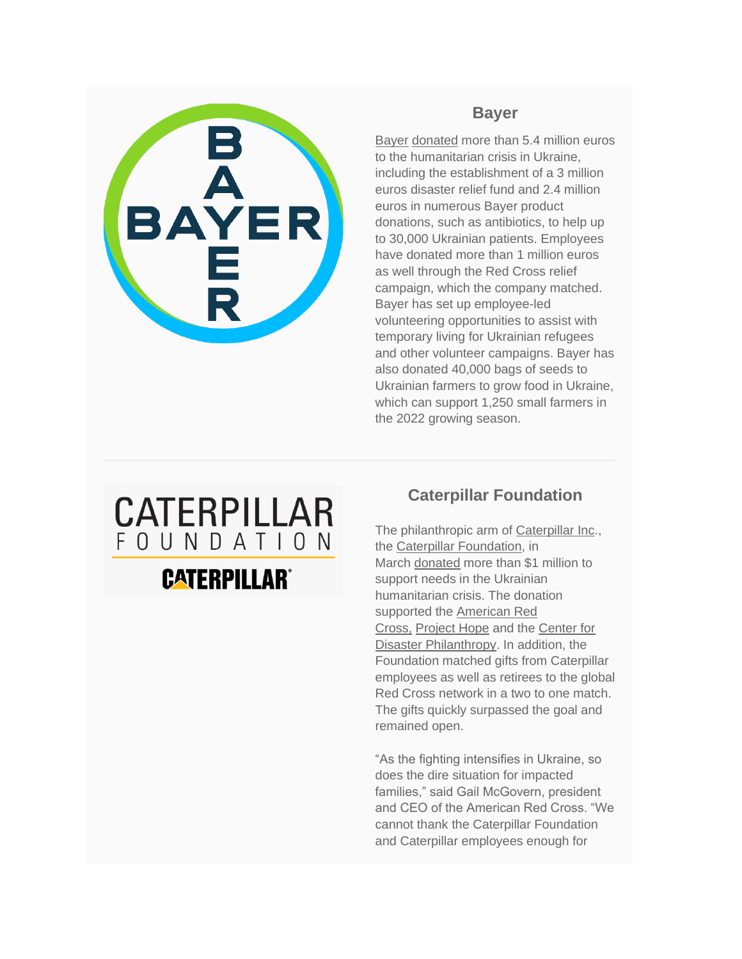

#### **Bayer**

[Bayer](https://www.bayer.com/en/) [donated](https://www.bayer.com/en/ukraine) more than 5.4 million euros to the humanitarian crisis in Ukraine, including the establishment of a 3 million euros disaster relief fund and 2.4 million euros in numerous Bayer product donations, such as antibiotics, to help up to 30,000 Ukrainian patients. Employees have donated more than 1 million euros as well through the Red Cross relief campaign, which the company matched. Bayer has set up employee-led volunteering opportunities to assist with temporary living for Ukrainian refugees and other volunteer campaigns. Bayer has also donated 40,000 bags of seeds to Ukrainian farmers to grow food in Ukraine, which can support 1,250 small farmers in the 2022 growing season.

### CATERPILLAR FOUNDATION

### **CATERPILLAR®**

#### **Caterpillar Foundation**

The philanthropic arm of [Caterpillar Inc.](https://www.caterpillar.com/), the [Caterpillar Foundation,](https://www.caterpillar.com/en/company/caterpillar-foundation.html) in March [donated](https://www.caterpillar.com/en/news/corporate-press-releases/h/caterpillar-foundation-supports-needs-ukrainian-people.html) more than \$1 million to support needs in the Ukrainian humanitarian crisis. The donation supported the **American Red** [Cross,](https://www.redcross.org/) [Project Hope](https://www.projecthope.org/) and the [Center for](https://disasterphilanthropy.org/)  [Disaster Philanthropy.](https://disasterphilanthropy.org/) In addition, the Foundation matched gifts from Caterpillar employees as well as retirees to the global Red Cross network in a two to one match. The gifts quickly surpassed the goal and remained open.

"As the fighting intensifies in Ukraine, so does the dire situation for impacted families," said Gail McGovern, president and CEO of the American Red Cross. "We cannot thank the Caterpillar Foundation and Caterpillar employees enough for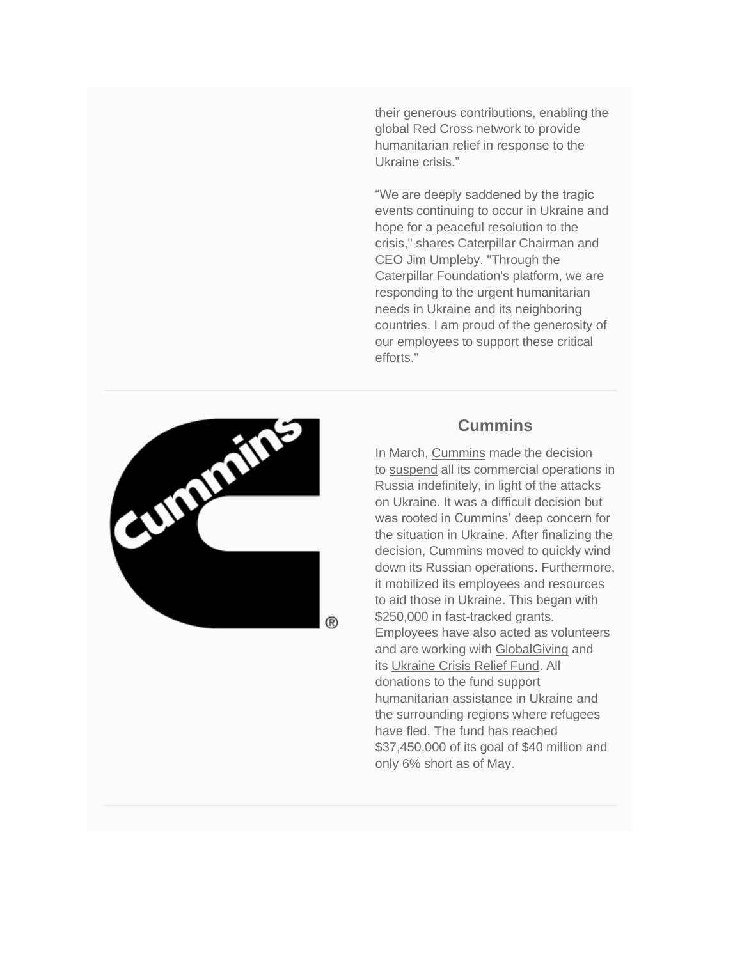their generous contributions, enabling the global Red Cross network to provide humanitarian relief in response to the Ukraine crisis."

"We are deeply saddened by the tragic events continuing to occur in Ukraine and hope for a peaceful resolution to the crisis," shares Caterpillar Chairman and CEO Jim Umpleby. "Through the Caterpillar Foundation's platform, we are responding to the urgent humanitarian needs in Ukraine and its neighboring countries. I am proud of the generosity of our employees to support these critical efforts."



®

#### **Cummins**

In March, [Cummins](https://www.cummins.com/) made the decision to [suspend](https://www.cummins.com/news/releases/2022/03/18/update-cummins-business-russia) all its commercial operations in Russia indefinitely, in light of the attacks on Ukraine. It was a difficult decision but was rooted in Cummins' deep concern for the situation in Ukraine. After finalizing the decision, Cummins moved to quickly wind down its Russian operations. Furthermore, it mobilized its employees and resources to aid those in Ukraine. This began with \$250,000 in fast-tracked grants. Employees have also acted as volunteers and are working with **[GlobalGiving](https://www.globalgiving.org/)** and its [Ukraine Crisis Relief Fund.](https://www.globalgiving.org/projects/ukraine-crisis-relief-fund/) All donations to the fund support humanitarian assistance in Ukraine and the surrounding regions where refugees have fled. The fund has reached \$37,450,000 of its goal of \$40 million and only 6% short as of May.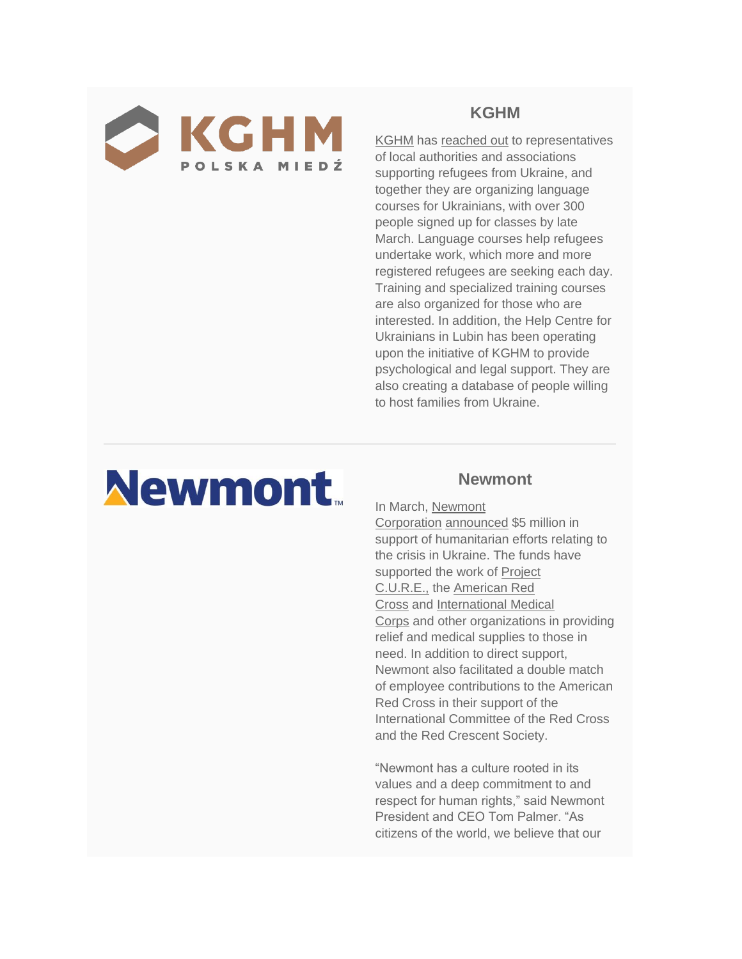

#### **KGHM**

[KGHM](https://kghm.com/) has [reached out](https://media.kghm.com/en/news-and-press-releases/we-are-establishing-a-good-climate-for-the-further-support-of-ukrainian-refugees) to representatives of local authorities and associations supporting refugees from Ukraine, and together they are organizing language courses for Ukrainians, with over 300 people signed up for classes by late March. Language courses help refugees undertake work, which more and more registered refugees are seeking each day. Training and specialized training courses are also organized for those who are interested. In addition, the Help Centre for Ukrainians in Lubin has been operating upon the initiative of KGHM to provide psychological and legal support. They are also creating a database of people willing to host families from Ukraine.

## **Newmont**

#### **Newmont**

In March, [Newmont](https://www.newmont.com/home/default.aspx)  [Corporation](https://www.newmont.com/home/default.aspx) [announced](https://www.newmont.com/investors/news-release/news-details/2022/Newmont-Contributes-5-Million-to-Support-Humanitarian-Efforts-in-Ukraine-strong/default.aspx) \$5 million in support of humanitarian efforts relating to the crisis in Ukraine. The funds have supported the work of [Project](https://projectcure.org/)  [C.U.R.E.,](https://projectcure.org/) the [American Red](https://www.redcross.org/)  [Cross](https://www.redcross.org/) and [International Medical](https://internationalmedicalcorps.org/)  [Corps](https://internationalmedicalcorps.org/) and other organizations in providing relief and medical supplies to those in need. In addition to direct support, Newmont also facilitated a double match of employee contributions to the American Red Cross in their support of the International Committee of the Red Cross and the Red Crescent Society.

"Newmont has a culture rooted in its values and a deep commitment to and respect for human rights," said Newmont President and CEO Tom Palmer. "As citizens of the world, we believe that our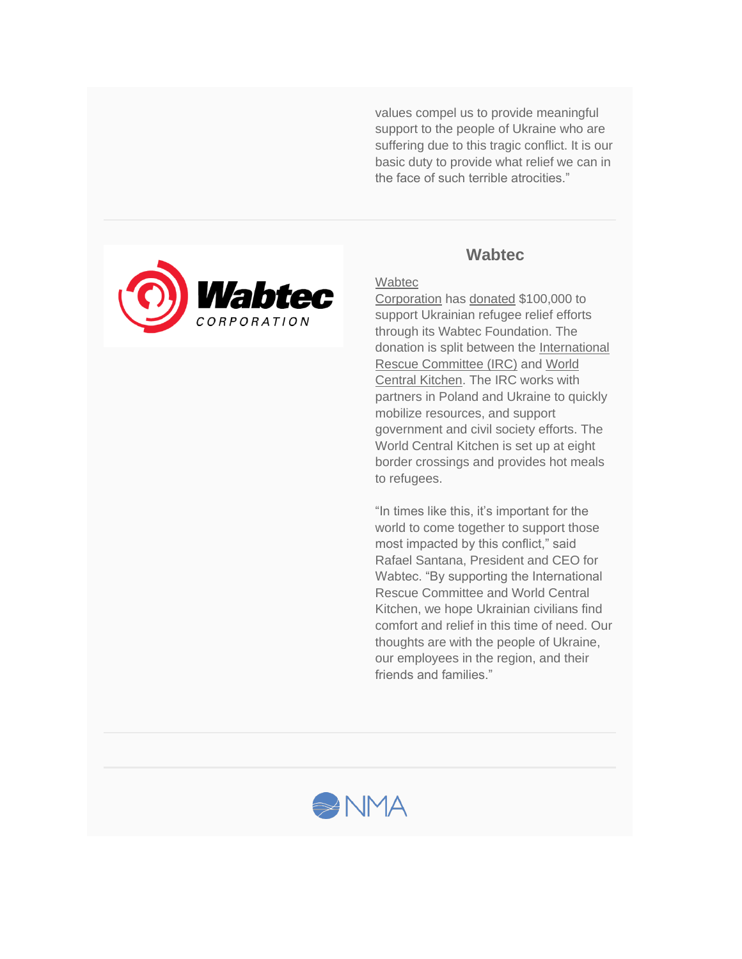values compel us to provide meaningful support to the people of Ukraine who are suffering due to this tragic conflict. It is our basic duty to provide what relief we can in the face of such terrible atrocities."



#### **Wabtec**

#### **Wabtec**

[Corporation](https://www.wabteccorp.com/) has [donated](https://www.wabteccorp.com/newsroom/press-releases/wabtec-donates-100000-to-support-ukraine-refugee-relief-efforts) \$100,000 to support Ukrainian refugee relief efforts through its Wabtec Foundation. The donation is split between the [International](https://www.rescue.org/)  [Rescue Committee \(IRC\)](https://www.rescue.org/) and [World](https://wck.org/)  [Central Kitchen.](https://wck.org/) The IRC works with partners in Poland and Ukraine to quickly mobilize resources, and support government and civil society efforts. The World Central Kitchen is set up at eight border crossings and provides hot meals to refugees.

"In times like this, it's important for the world to come together to support those most impacted by this conflict," said Rafael Santana, President and CEO for Wabtec. "By supporting the International Rescue Committee and World Central Kitchen, we hope Ukrainian civilians find comfort and relief in this time of need. Our thoughts are with the people of Ukraine, our employees in the region, and their friends and families."